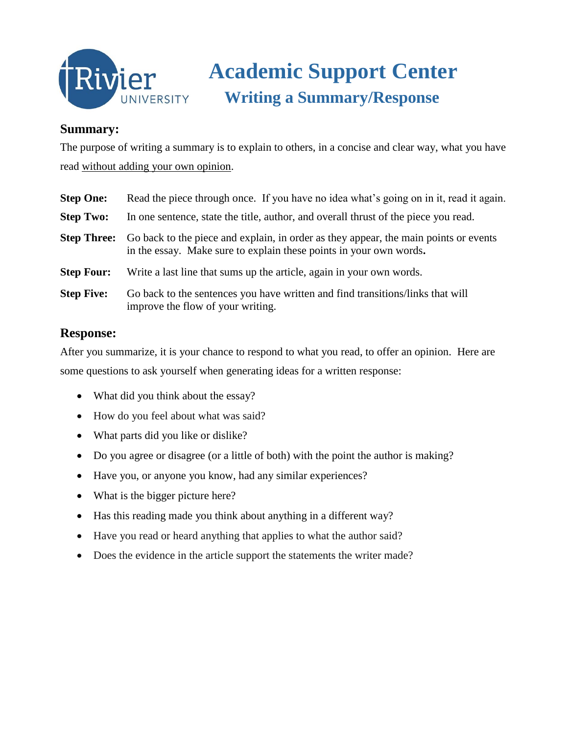

## **Academic Support Center Writing a Summary/Response**

## **Summary:**

The purpose of writing a summary is to explain to others, in a concise and clear way, what you have read without adding your own opinion.

| <b>Step One:</b>   | Read the piece through once. If you have no idea what's going on in it, read it again.                                                                     |
|--------------------|------------------------------------------------------------------------------------------------------------------------------------------------------------|
| <b>Step Two:</b>   | In one sentence, state the title, author, and overall thrust of the piece you read.                                                                        |
| <b>Step Three:</b> | Go back to the piece and explain, in order as they appear, the main points or events<br>in the essay. Make sure to explain these points in your own words. |
| <b>Step Four:</b>  | Write a last line that sums up the article, again in your own words.                                                                                       |
| <b>Step Five:</b>  | Go back to the sentences you have written and find transitions/links that will<br>improve the flow of your writing.                                        |

## **Response:**

After you summarize, it is your chance to respond to what you read, to offer an opinion. Here are some questions to ask yourself when generating ideas for a written response:

- What did you think about the essay?
- How do you feel about what was said?
- What parts did you like or dislike?
- Do you agree or disagree (or a little of both) with the point the author is making?
- Have you, or anyone you know, had any similar experiences?
- What is the bigger picture here?
- Has this reading made you think about anything in a different way?
- Have you read or heard anything that applies to what the author said?
- Does the evidence in the article support the statements the writer made?